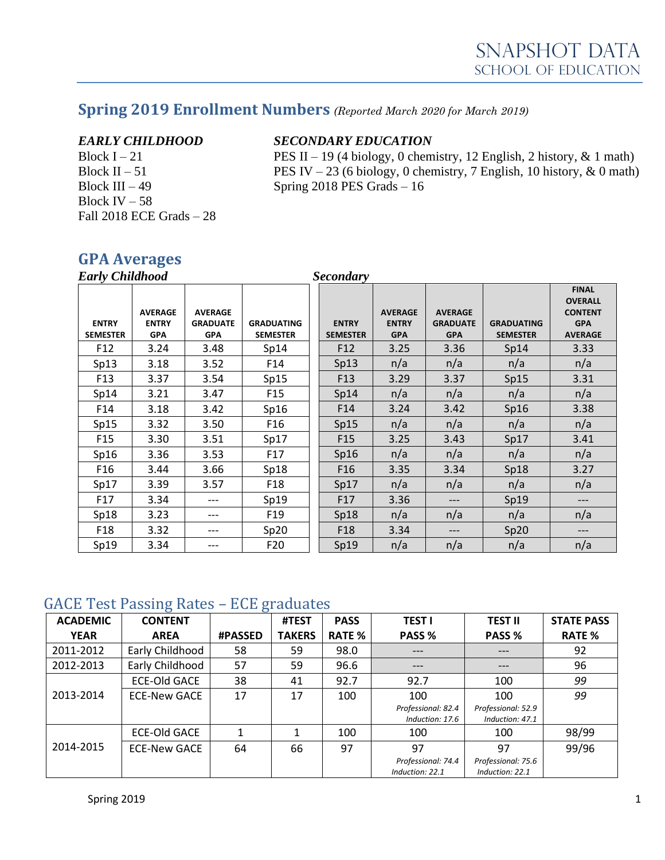# **Spring 2019 Enrollment Numbers** *(Reported March 2020 for March 2019)*

Block IV – 58 Fall 2018 ECE Grads – 28

### *EARLY CHILDHOOD SECONDARY EDUCATION*

Block I – 21 PES II – 19 (4 biology, 0 chemistry, 12 English, 2 history,  $\&$  1 math) Block II – 51 PES IV – 23 (6 biology, 0 chemistry, 7 English, 10 history,  $\&$  0 math) Block III – 49 Spring 2018 PES Grads – 16

## **GPA Averages**

| <b>Early Childhood</b>          |                                              |                                                 |                                      | <b>Secondary</b>                |                                              |                                                 |                                      |                                                                                  |  |
|---------------------------------|----------------------------------------------|-------------------------------------------------|--------------------------------------|---------------------------------|----------------------------------------------|-------------------------------------------------|--------------------------------------|----------------------------------------------------------------------------------|--|
| <b>ENTRY</b><br><b>SEMESTER</b> | <b>AVERAGE</b><br><b>ENTRY</b><br><b>GPA</b> | <b>AVERAGE</b><br><b>GRADUATE</b><br><b>GPA</b> | <b>GRADUATING</b><br><b>SEMESTER</b> | <b>ENTRY</b><br><b>SEMESTER</b> | <b>AVERAGE</b><br><b>ENTRY</b><br><b>GPA</b> | <b>AVERAGE</b><br><b>GRADUATE</b><br><b>GPA</b> | <b>GRADUATING</b><br><b>SEMESTER</b> | <b>FINAL</b><br><b>OVERALL</b><br><b>CONTENT</b><br><b>GPA</b><br><b>AVERAGE</b> |  |
| F <sub>12</sub>                 | 3.24                                         | 3.48                                            | Sp14                                 | F <sub>12</sub>                 | 3.25                                         | 3.36                                            | Sp14                                 | 3.33                                                                             |  |
| Sp13                            | 3.18                                         | 3.52                                            | F14                                  | Sp13                            | n/a                                          | n/a                                             | n/a                                  | n/a                                                                              |  |
| F <sub>13</sub>                 | 3.37                                         | 3.54                                            | Sp15                                 | F <sub>13</sub>                 | 3.29                                         | 3.37                                            | Sp15                                 | 3.31                                                                             |  |
| Sp14                            | 3.21                                         | 3.47                                            | F <sub>15</sub>                      | Sp14                            | n/a                                          | n/a                                             | n/a                                  | n/a                                                                              |  |
| F14                             | 3.18                                         | 3.42                                            | Sp16                                 | F <sub>14</sub>                 | 3.24                                         | 3.42                                            | Sp16                                 | 3.38                                                                             |  |
| Sp15                            | 3.32                                         | 3.50                                            | F <sub>16</sub>                      | Sp15                            | n/a                                          | n/a                                             | n/a                                  | n/a                                                                              |  |
| F <sub>15</sub>                 | 3.30                                         | 3.51                                            | Sp17                                 | F <sub>15</sub>                 | 3.25                                         | 3.43                                            | Sp17                                 | 3.41                                                                             |  |
| Sp16                            | 3.36                                         | 3.53                                            | F17                                  | Sp16                            | n/a                                          | n/a                                             | n/a                                  | n/a                                                                              |  |
| F <sub>16</sub>                 | 3.44                                         | 3.66                                            | Sp18                                 | F <sub>16</sub>                 | 3.35                                         | 3.34                                            | Sp18                                 | 3.27                                                                             |  |
| Sp17                            | 3.39                                         | 3.57                                            | F <sub>18</sub>                      | Sp17                            | n/a                                          | n/a                                             | n/a                                  | n/a                                                                              |  |
| F17                             | 3.34                                         | ---                                             | Sp19                                 | F17                             | 3.36                                         | ---                                             | Sp19                                 | $---$                                                                            |  |
| Sp18                            | 3.23                                         | ---                                             | F <sub>19</sub>                      | Sp18                            | n/a                                          | n/a                                             | n/a                                  | n/a                                                                              |  |
| F18                             | 3.32                                         | ---                                             | Sp20                                 | F <sub>18</sub>                 | 3.34                                         | ---                                             | Sp20                                 | $---$                                                                            |  |
| Sp19                            | 3.34                                         | ---                                             | F <sub>20</sub>                      | Sp19                            | n/a                                          | n/a                                             | n/a                                  | n/a                                                                              |  |

### GACE Test Passing Rates – ECE graduates

| <b>ACADEMIC</b> | ഄ<br><b>CONTENT</b> | ັ              | #TEST         | <b>PASS</b>   | <b>TESTI</b>                          | <b>TEST II</b>                        | <b>STATE PASS</b> |
|-----------------|---------------------|----------------|---------------|---------------|---------------------------------------|---------------------------------------|-------------------|
| <b>YEAR</b>     | <b>AREA</b>         | <b>#PASSED</b> | <b>TAKERS</b> | <b>RATE %</b> | PASS %                                | PASS %                                | <b>RATE %</b>     |
| 2011-2012       | Early Childhood     | 58             | 59            | 98.0          | ---                                   | $---$                                 | 92                |
| 2012-2013       | Early Childhood     | 57             | 59            | 96.6          | ---                                   | $---$                                 | 96                |
|                 | <b>ECE-Old GACE</b> | 38             | 41            | 92.7          | 92.7                                  | 100                                   | 99                |
| 2013-2014       | <b>ECE-New GACE</b> | 17             | 17            | 100           | 100                                   | 100                                   | 99                |
|                 |                     |                |               |               | Professional: 82.4<br>Induction: 17.6 | Professional: 52.9<br>Induction: 47.1 |                   |
|                 | <b>ECE-Old GACE</b> |                | 1             | 100           | 100                                   | 100                                   | 98/99             |
| 2014-2015       | <b>ECE-New GACE</b> | 64             | 66            | 97            | 97                                    | 97                                    | 99/96             |
|                 |                     |                |               |               | Professional: 74.4<br>Induction: 22.1 | Professional: 75.6<br>Induction: 22.1 |                   |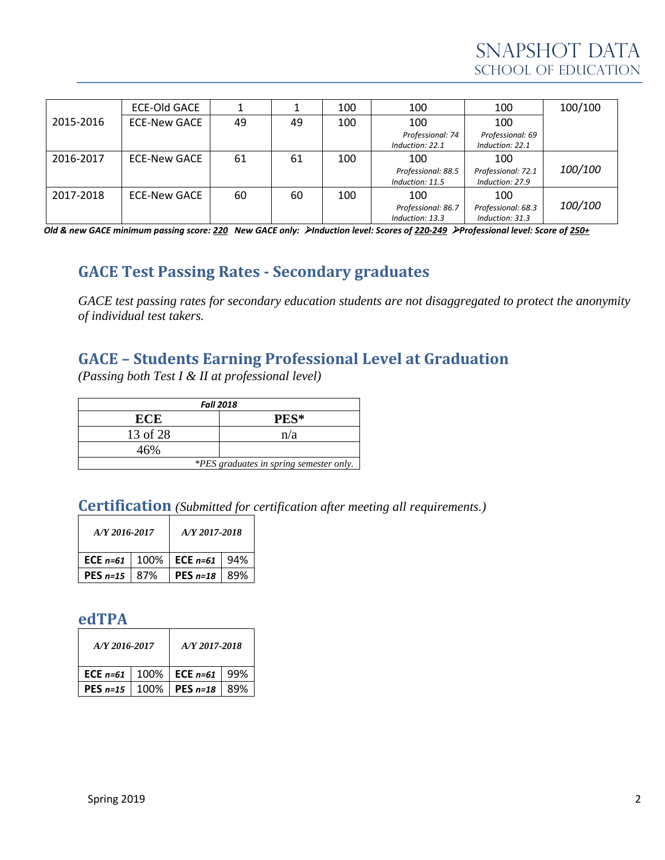|           | <b>ECE-Old GACE</b> |    |    | 100 | 100                                   | 100                                   | 100/100 |
|-----------|---------------------|----|----|-----|---------------------------------------|---------------------------------------|---------|
| 2015-2016 | <b>ECE-New GACE</b> | 49 | 49 | 100 | 100                                   | 100                                   |         |
|           |                     |    |    |     | Professional: 74<br>Induction: 22.1   | Professional: 69<br>Induction: 22.1   |         |
| 2016-2017 | <b>ECE-New GACE</b> | 61 | 61 | 100 | 100                                   | 100                                   |         |
|           |                     |    |    |     | Professional: 88.5<br>Induction: 11.5 | Professional: 72.1<br>Induction: 27.9 | 100/100 |
| 2017-2018 | <b>ECE-New GACE</b> | 60 | 60 | 100 | 100                                   | 100                                   |         |
|           |                     |    |    |     | Professional: 86.7<br>Induction: 13.3 | Professional: 68.3<br>Induction: 31.3 | 100/100 |

*Old & new GACE minimum passing score: 220 New GACE only:* ➢*Induction level: Scores of 220-249* ➢*Professional level: Score of 250+*

### **GACE Test Passing Rates - Secondary graduates**

*GACE test passing rates for secondary education students are not disaggregated to protect the anonymity of individual test takers.*

### **GACE – Students Earning Professional Level at Graduation**

*(Passing both Test I & II at professional level)*

| <b>Fall 2018</b>                        |      |  |  |  |  |
|-----------------------------------------|------|--|--|--|--|
| ECE                                     | PES* |  |  |  |  |
| 13 of 28                                | n/a  |  |  |  |  |
| 46%                                     |      |  |  |  |  |
| *PES graduates in spring semester only. |      |  |  |  |  |

# **Certification** *(Submitted for certification after meeting all requirements.)*

| A/Y 2016-2017 |     | A/Y 2017-2018                                      |     |  |
|---------------|-----|----------------------------------------------------|-----|--|
|               |     | <b>ECE</b> $n=61$   100%   <b>ECE</b> $n=61$   94% |     |  |
| $PES n=15$    | 87% | PES $n=18$                                         | 89% |  |

### **edTPA**

| A/Y 2016-2017 | A/Y 2017-2018   |      |  |  |
|---------------|-----------------|------|--|--|
| ECE $n=61$    | 100% ECE $n=61$ | .99% |  |  |
| PES $n=15$    | 100% PES n=18   | 89%  |  |  |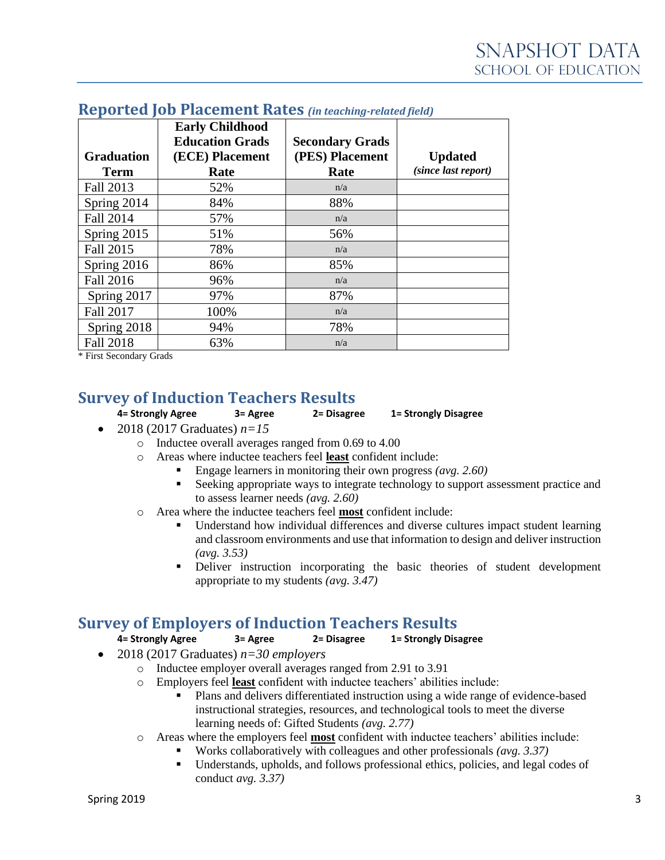| <b>Graduation</b><br><b>Term</b> | <b>Early Childhood</b><br><b>Education Grads</b><br>(ECE) Placement<br>Rate | <b>Secondary Grads</b><br>(PES) Placement<br>Rate | <b>Updated</b><br>(since last report) |
|----------------------------------|-----------------------------------------------------------------------------|---------------------------------------------------|---------------------------------------|
| Fall 2013                        | 52%                                                                         | n/a                                               |                                       |
| Spring 2014                      | 84%                                                                         | 88%                                               |                                       |
| <b>Fall 2014</b>                 | 57%                                                                         | n/a                                               |                                       |
| Spring 2015                      | 51%                                                                         | 56%                                               |                                       |
| Fall 2015                        | 78%                                                                         | n/a                                               |                                       |
| Spring 2016                      | 86%                                                                         | 85%                                               |                                       |
| Fall 2016                        | 96%                                                                         | n/a                                               |                                       |
| Spring 2017                      | 97%                                                                         | 87%                                               |                                       |
| Fall 2017                        | 100%                                                                        | n/a                                               |                                       |
| Spring 2018                      | 94%                                                                         | 78%                                               |                                       |
| <b>Fall 2018</b>                 | 63%                                                                         | n/a                                               |                                       |

### **Reported Job Placement Rates** *(in teaching-related field)*

\* First Secondary Grads

### **Survey of Induction Teachers Results**

**4= Strongly Agree 3= Agree 2= Disagree 1= Strongly Disagree**

- 2018 (2017 Graduates)  $n=15$ 
	- o Inductee overall averages ranged from 0.69 to 4.00
		- o Areas where inductee teachers feel **least** confident include:
			- Engage learners in monitoring their own progress *(avg. 2.60)*
			- **EXECUTE:** Seeking appropriate ways to integrate technology to support assessment practice and to assess learner needs *(avg. 2.60)*
		- o Area where the inductee teachers feel **most** confident include:
			- Understand how individual differences and diverse cultures impact student learning and classroom environments and use that information to design and deliver instruction *(avg. 3.53)*
			- Deliver instruction incorporating the basic theories of student development appropriate to my students *(avg. 3.47)*

## **Survey of Employers of Induction Teachers Results**

**4= Strongly Agree 3= Agree 2= Disagree 1= Strongly Disagree**

- 2018 (2017 Graduates) *n=30 employers*
	- o Inductee employer overall averages ranged from 2.91 to 3.91
	- o Employers feel **least** confident with inductee teachers' abilities include:
		- Plans and delivers differentiated instruction using a wide range of evidence-based instructional strategies, resources, and technological tools to meet the diverse learning needs of: Gifted Students *(avg. 2.77)*
	- o Areas where the employers feel **most** confident with inductee teachers' abilities include:
		- Works collaboratively with colleagues and other professionals *(avg. 3.37)*
		- Understands, upholds, and follows professional ethics, policies, and legal codes of conduct *avg. 3.37)*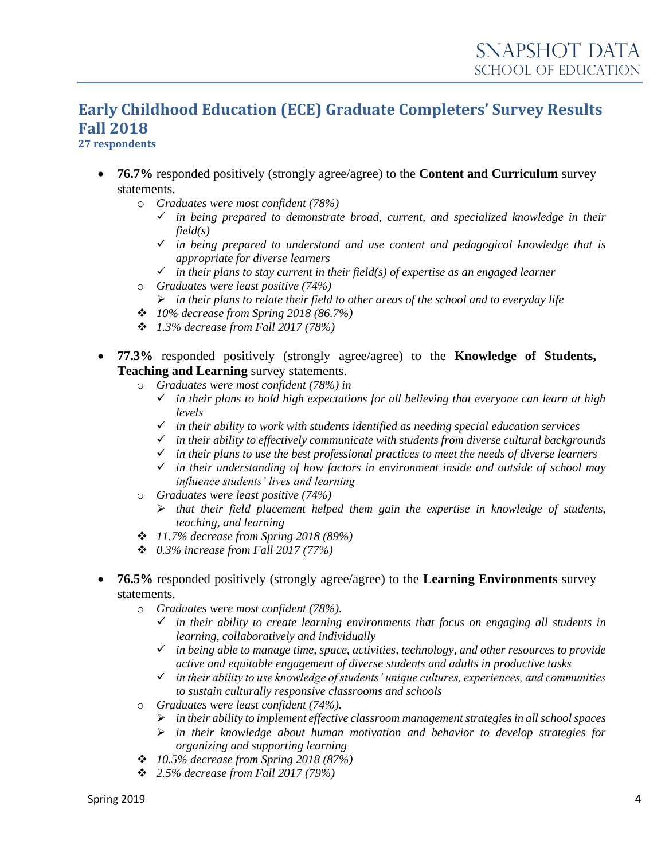# **Early Childhood Education (ECE) Graduate Completers' Survey Results Fall 2018**

### **27 respondents**

- **76.7%** responded positively (strongly agree/agree) to the **Content and Curriculum** survey statements.
	- o *Graduates were most confident (78%)*
		- ✓ *in being prepared to demonstrate broad, current, and specialized knowledge in their field(s)*
		- ✓ *in being prepared to understand and use content and pedagogical knowledge that is appropriate for diverse learners*
		- $\checkmark$  *in their plans to stay current in their field(s) of expertise as an engaged learner*
	- o *Graduates were least positive (74%)* ➢ *in their plans to relate their field to other areas of the school and to everyday life*
	- ❖ *10% decrease from Spring 2018 (86.7%)*
	- ❖ *1.3% decrease from Fall 2017 (78%)*
- **77.3%** responded positively (strongly agree/agree) to the **Knowledge of Students, Teaching and Learning** survey statements.
	- o *Graduates were most confident (78%) in*
		- ✓ *in their plans to hold high expectations for all believing that everyone can learn at high levels*
		- ✓ *in their ability to work with students identified as needing special education services*
		- ✓ *in their ability to effectively communicate with students from diverse cultural backgrounds*
		- ✓ *in their plans to use the best professional practices to meet the needs of diverse learners*
		- ✓ *in their understanding of how factors in environment inside and outside of school may influence students' lives and learning*
	- o *Graduates were least positive (74%)*
		- ➢ *that their field placement helped them gain the expertise in knowledge of students, teaching, and learning*
	- ❖ *11.7% decrease from Spring 2018 (89%)*
	- ❖ *0.3% increase from Fall 2017 (77%)*
- **76.5%** responded positively (strongly agree/agree) to the **Learning Environments** survey statements.
	- o *Graduates were most confident (78%).*
		- ✓ *in their ability to create learning environments that focus on engaging all students in learning, collaboratively and individually*
		- ✓ *in being able to manage time, space, activities, technology, and other resources to provide active and equitable engagement of diverse students and adults in productive tasks*
		- ✓ *in their ability to use knowledge of students' unique cultures, experiences, and communities to sustain culturally responsive classrooms and schools*
	- o *Graduates were least confident (74%).*
		- ➢ *in their ability to implement effective classroom management strategies in all school spaces*
		- ➢ *in their knowledge about human motivation and behavior to develop strategies for organizing and supporting learning*
	- ❖ *10.5% decrease from Spring 2018 (87%)*
	- ❖ *2.5% decrease from Fall 2017 (79%)*